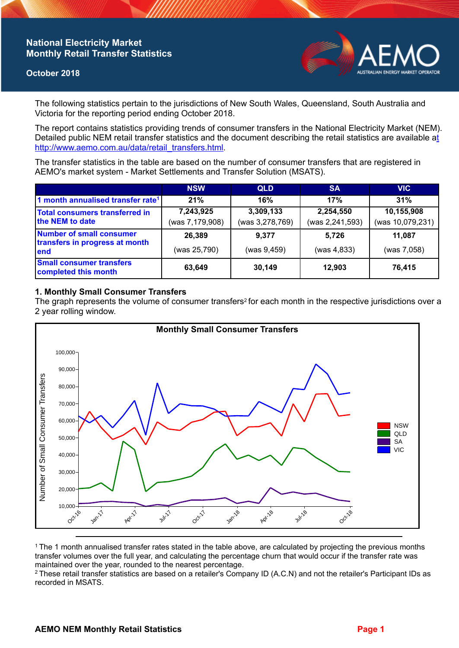# **National Electricity Market Monthly Retail Transfer Statistics**

### **October 2018**



The following statistics pertain to the jurisdictions of New South Wales, Queensland, South Australia and Victoria for the reporting period ending October 2018.

The report contains statistics providing trends of consumer transfers in the National Electricity Market (NEM). Detailed public NEM retail transfer statistics and the document describing the retail statistics are available a[t](http://www.aemo.com.au/data/retail_transfers.html)  http://www.aemo.com.au/data/retail\_transfers.html

The transfer statistics in the table are based on the number of consumer transfers that are registered in AEMO's market system - Market Settlements and Transfer Solution (MSATS).

|                                                                    | <b>NSW</b>                   | <b>QLD</b>                   | <b>SA</b>                    | <b>VIC</b>                     |
|--------------------------------------------------------------------|------------------------------|------------------------------|------------------------------|--------------------------------|
| 1 month annualised transfer rate <sup>1</sup>                      | 21%                          | 16%                          | 17%                          | 31%                            |
| Total consumers transferred in<br>the NEM to date                  | 7,243,925<br>(was 7,179,908) | 3,309,133<br>(was 3,278,769) | 2,254,550<br>(was 2,241,593) | 10,155,908<br>(was 10,079,231) |
| Number of small consumer<br>transfers in progress at month<br>lend | 26,389<br>(was 25,790)       | 9.377<br>(was 9,459)         | 5.726<br>(was 4, 833)        | 11.087<br>(was 7,058)          |
| <b>Small consumer transfers</b><br>completed this month            | 63,649                       | 30,149                       | 12.903                       | 76,415                         |

## **1. Monthly Small Consumer Transfers**

The graph represents the volume of consumer transfers<sup>2</sup> for each month in the respective jurisdictions over a 2 year rolling window.



<sup>1</sup>The 1 month annualised transfer rates stated in the table above, are calculated by projecting the previous months transfer volumes over the full year, and calculating the percentage churn that would occur if the transfer rate was maintained over the year, rounded to the nearest percentage.

<sup>2</sup> These retail transfer statistics are based on a retailer's Company ID (A.C.N) and not the retailer's Participant IDs as recorded in MSATS.